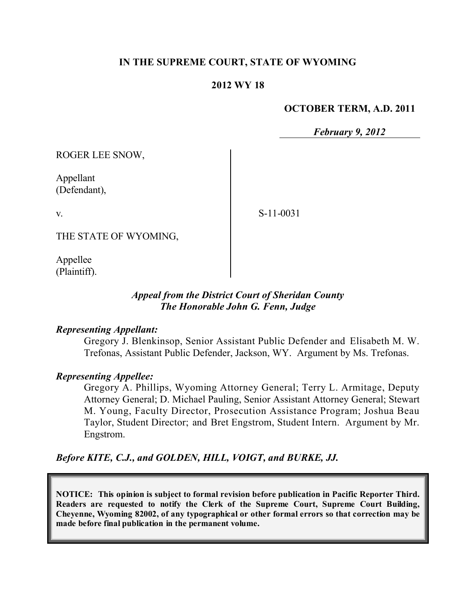## **IN THE SUPREME COURT, STATE OF WYOMING**

### **2012 WY 18**

#### **OCTOBER TERM, A.D. 2011**

*February 9, 2012*

ROGER LEE SNOW,

Appellant (Defendant),

v.

S-11-0031

THE STATE OF WYOMING,

Appellee (Plaintiff).

## *Appeal from the District Court of Sheridan County The Honorable John G. Fenn, Judge*

### *Representing Appellant:*

Gregory J. Blenkinsop, Senior Assistant Public Defender and Elisabeth M. W. Trefonas, Assistant Public Defender, Jackson, WY. Argument by Ms. Trefonas.

#### *Representing Appellee:*

Gregory A. Phillips, Wyoming Attorney General; Terry L. Armitage, Deputy Attorney General; D. Michael Pauling, Senior Assistant Attorney General; Stewart M. Young, Faculty Director, Prosecution Assistance Program; Joshua Beau Taylor, Student Director; and Bret Engstrom, Student Intern. Argument by Mr. Engstrom.

*Before KITE, C.J., and GOLDEN, HILL, VOIGT, and BURKE, JJ.*

**NOTICE: This opinion is subject to formal revision before publication in Pacific Reporter Third. Readers are requested to notify the Clerk of the Supreme Court, Supreme Court Building, Cheyenne, Wyoming 82002, of any typographical or other formal errors so that correction may be made before final publication in the permanent volume.**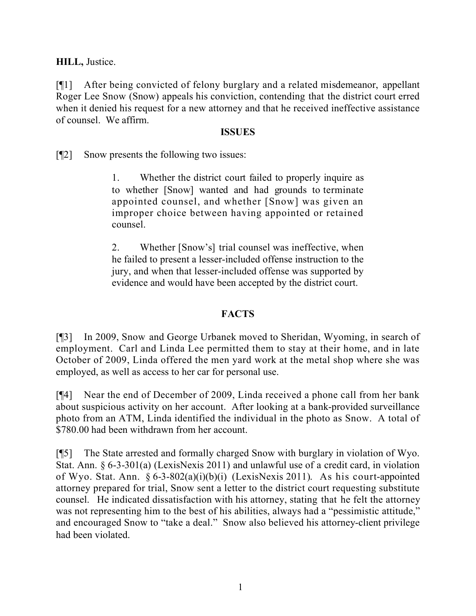**HILL,** Justice.

[¶1] After being convicted of felony burglary and a related misdemeanor, appellant Roger Lee Snow (Snow) appeals his conviction, contending that the district court erred when it denied his request for a new attorney and that he received ineffective assistance of counsel. We affirm.

## **ISSUES**

[¶2] Snow presents the following two issues:

1. Whether the district court failed to properly inquire as to whether [Snow] wanted and had grounds to terminate appointed counsel, and whether [Snow] was given an improper choice between having appointed or retained counsel.

2. Whether [Snow's] trial counsel was ineffective, when he failed to present a lesser-included offense instruction to the jury, and when that lesser-included offense was supported by evidence and would have been accepted by the district court.

# **FACTS**

[¶3] In 2009, Snow and George Urbanek moved to Sheridan, Wyoming, in search of employment. Carl and Linda Lee permitted them to stay at their home, and in late October of 2009, Linda offered the men yard work at the metal shop where she was employed, as well as access to her car for personal use.

[¶4] Near the end of December of 2009, Linda received a phone call from her bank about suspicious activity on her account. After looking at a bank-provided surveillance photo from an ATM, Linda identified the individual in the photo as Snow. A total of \$780.00 had been withdrawn from her account.

[¶5] The State arrested and formally charged Snow with burglary in violation of Wyo. Stat. Ann. § 6-3-301(a) (LexisNexis 2011) and unlawful use of a credit card, in violation of Wyo. Stat. Ann. § 6-3-802(a)(i)(b)(i) (LexisNexis 2011). As his court-appointed attorney prepared for trial, Snow sent a letter to the district court requesting substitute counsel. He indicated dissatisfaction with his attorney, stating that he felt the attorney was not representing him to the best of his abilities, always had a "pessimistic attitude," and encouraged Snow to "take a deal." Snow also believed his attorney-client privilege had been violated.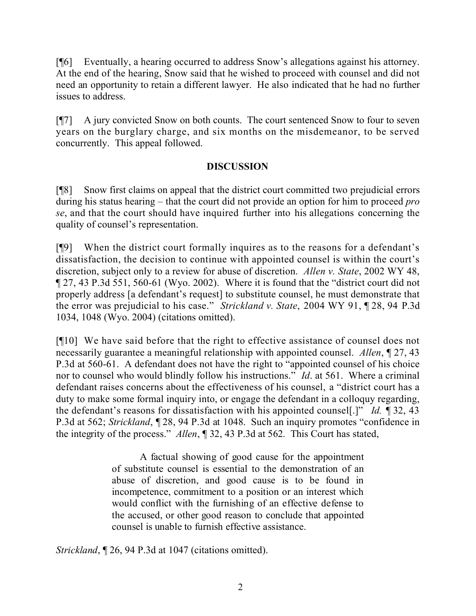[¶6] Eventually, a hearing occurred to address Snow's allegations against his attorney. At the end of the hearing, Snow said that he wished to proceed with counsel and did not need an opportunity to retain a different lawyer. He also indicated that he had no further issues to address.

[¶7] A jury convicted Snow on both counts. The court sentenced Snow to four to seven years on the burglary charge, and six months on the misdemeanor, to be served concurrently. This appeal followed.

## **DISCUSSION**

[¶8] Snow first claims on appeal that the district court committed two prejudicial errors during his status hearing – that the court did not provide an option for him to proceed *pro se*, and that the court should have inquired further into his allegations concerning the quality of counsel's representation.

[¶9] When the district court formally inquires as to the reasons for a defendant's dissatisfaction, the decision to continue with appointed counsel is within the court's discretion, subject only to a review for abuse of discretion. *Allen v. State*, 2002 WY 48, ¶ 27, 43 P.3d 551, 560-61 (Wyo. 2002). Where it is found that the "district court did not properly address [a defendant's request] to substitute counsel, he must demonstrate that the error was prejudicial to his case." *Strickland v. State*, 2004 WY 91, ¶ 28, 94 P.3d 1034, 1048 (Wyo. 2004) (citations omitted).

[¶10] We have said before that the right to effective assistance of counsel does not necessarily guarantee a meaningful relationship with appointed counsel. *Allen*, ¶ 27, 43 P.3d at 560-61. A defendant does not have the right to "appointed counsel of his choice nor to counsel who would blindly follow his instructions." *Id*. at 561. Where a criminal defendant raises concerns about the effectiveness of his counsel, a "district court has a duty to make some formal inquiry into, or engage the defendant in a colloquy regarding, the defendant's reasons for dissatisfaction with his appointed counsel[.]" *Id.* ¶ 32, 43 P.3d at 562; *Strickland*, ¶ 28, 94 P.3d at 1048. Such an inquiry promotes "confidence in the integrity of the process." *Allen*, ¶ 32, 43 P.3d at 562*.* This Court has stated,

> A factual showing of good cause for the appointment of substitute counsel is essential to the demonstration of an abuse of discretion, and good cause is to be found in incompetence, commitment to a position or an interest which would conflict with the furnishing of an effective defense to the accused, or other good reason to conclude that appointed counsel is unable to furnish effective assistance.

*Strickland*, ¶ 26, 94 P.3d at 1047 (citations omitted).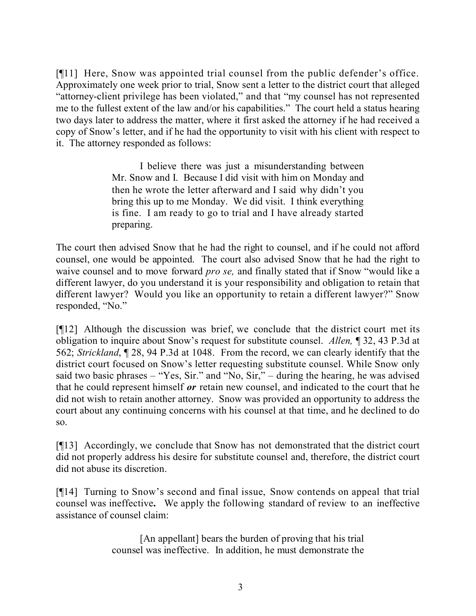[¶11] Here, Snow was appointed trial counsel from the public defender's office. Approximately one week prior to trial, Snow sent a letter to the district court that alleged "attorney-client privilege has been violated," and that "my counsel has not represented me to the fullest extent of the law and/or his capabilities." The court held a status hearing two days later to address the matter, where it first asked the attorney if he had received a copy of Snow's letter, and if he had the opportunity to visit with his client with respect to it. The attorney responded as follows:

> I believe there was just a misunderstanding between Mr. Snow and I. Because I did visit with him on Monday and then he wrote the letter afterward and I said why didn't you bring this up to me Monday. We did visit. I think everything is fine. I am ready to go to trial and I have already started preparing.

The court then advised Snow that he had the right to counsel, and if he could not afford counsel, one would be appointed. The court also advised Snow that he had the right to waive counsel and to move forward *pro se,* and finally stated that if Snow "would like a different lawyer, do you understand it is your responsibility and obligation to retain that different lawyer? Would you like an opportunity to retain a different lawyer?" Snow responded, "No."

[¶12] Although the discussion was brief, we conclude that the district court met its obligation to inquire about Snow's request for substitute counsel. *Allen,* ¶ 32, 43 P.3d at 562; *Strickland*, ¶ 28, 94 P.3d at 1048. From the record, we can clearly identify that the district court focused on Snow's letter requesting substitute counsel. While Snow only said two basic phrases – "Yes, Sir." and "No, Sir," – during the hearing, he was advised that he could represent himself *or* retain new counsel, and indicated to the court that he did not wish to retain another attorney. Snow was provided an opportunity to address the court about any continuing concerns with his counsel at that time, and he declined to do so.

[¶13] Accordingly, we conclude that Snow has not demonstrated that the district court did not properly address his desire for substitute counsel and, therefore, the district court did not abuse its discretion.

[¶14] Turning to Snow's second and final issue, Snow contends on appeal that trial counsel was ineffective**.** We apply the following standard of review to an ineffective assistance of counsel claim:

> [An appellant] bears the burden of proving that his trial counsel was ineffective. In addition, he must demonstrate the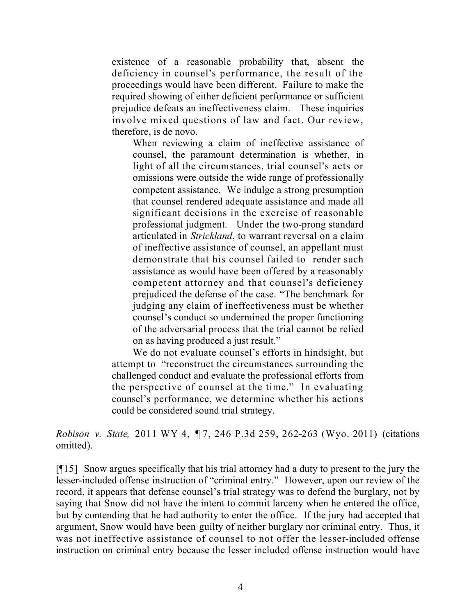existence of a reasonable probability that, absent the deficiency in counsel's performance, the result of the proceedings would have been different. Failure to make the required showing of either deficient performance or sufficient prejudice defeats an ineffectiveness claim. These inquiries involve mixed questions of law and fact. Our review, therefore, is de novo.

When reviewing a claim of ineffective assistance of counsel, the paramount determination is whether, in light of all the circumstances, trial counsel's acts or omissions were outside the wide range of professionally competent assistance. We indulge a strong presumption that counsel rendered adequate assistance and made all significant decisions in the exercise of reasonable professional judgment. Under the two-prong standard articulated in *Strickland*, to warrant reversal on a claim of ineffective assistance of counsel, an appellant must demonstrate that his counsel failed to render such assistance as would have been offered by a reasonably competent attorney and that counsel's deficiency prejudiced the defense of the case. "The benchmark for judging any claim of ineffectiveness must be whether counsel's conduct so undermined the proper functioning of the adversarial process that the trial cannot be relied on as having produced a just result."

We do not evaluate counsel's efforts in hindsight, but attempt to "reconstruct the circumstances surrounding the challenged conduct and evaluate the professional efforts from the perspective of counsel at the time." In evaluating counsel's performance, we determine whether his actions could be considered sound trial strategy.

*Robison v. State,* 2011 WY 4, ¶ 7, 246 P.3d 259, 262-263 (Wyo. 2011) (citations omitted).

[¶15] Snow argues specifically that his trial attorney had a duty to present to the jury the lesser-included offense instruction of "criminal entry." However, upon our review of the record, it appears that defense counsel's trial strategy was to defend the burglary, not by saying that Snow did not have the intent to commit larceny when he entered the office, but by contending that he had authority to enter the office. If the jury had accepted that argument, Snow would have been guilty of neither burglary nor criminal entry. Thus, it was not ineffective assistance of counsel to not offer the lesser-included offense instruction on criminal entry because the lesser included offense instruction would have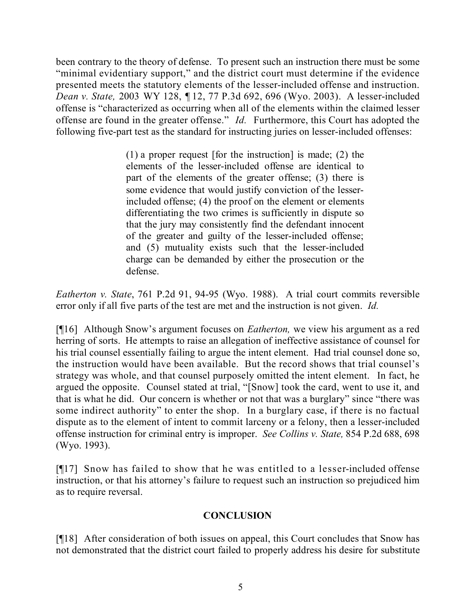been contrary to the theory of defense. To present such an instruction there must be some "minimal evidentiary support," and the district court must determine if the evidence presented meets the statutory elements of the lesser-included offense and instruction. *Dean v. State,* 2003 WY 128, ¶ 12, 77 P.3d 692, 696 (Wyo. 2003). A lesser-included offense is "characterized as occurring when all of the elements within the claimed lesser offense are found in the greater offense." *Id.* Furthermore, this Court has adopted the following five-part test as the standard for instructing juries on lesser-included offenses:

> (1) a proper request [for the instruction] is made; (2) the elements of the lesser-included offense are identical to part of the elements of the greater offense; (3) there is some evidence that would justify conviction of the lesserincluded offense; (4) the proof on the element or elements differentiating the two crimes is sufficiently in dispute so that the jury may consistently find the defendant innocent of the greater and guilty of the lesser-included offense; and (5) mutuality exists such that the lesser-included charge can be demanded by either the prosecution or the defense.

*Eatherton v. State*, 761 P.2d 91, 94-95 (Wyo. 1988). A trial court commits reversible error only if all five parts of the test are met and the instruction is not given. *Id.*

[¶16] Although Snow's argument focuses on *Eatherton,* we view his argument as a red herring of sorts. He attempts to raise an allegation of ineffective assistance of counsel for his trial counsel essentially failing to argue the intent element. Had trial counsel done so, the instruction would have been available. But the record shows that trial counsel's strategy was whole, and that counsel purposely omitted the intent element. In fact, he argued the opposite. Counsel stated at trial, "[Snow] took the card, went to use it, and that is what he did. Our concern is whether or not that was a burglary" since "there was some indirect authority" to enter the shop. In a burglary case, if there is no factual dispute as to the element of intent to commit larceny or a felony, then a lesser-included offense instruction for criminal entry is improper. *See Collins v. State,* 854 P.2d 688, 698 (Wyo. 1993).

[¶17] Snow has failed to show that he was entitled to a lesser-included offense instruction, or that his attorney's failure to request such an instruction so prejudiced him as to require reversal.

## **CONCLUSION**

[¶18] After consideration of both issues on appeal, this Court concludes that Snow has not demonstrated that the district court failed to properly address his desire for substitute